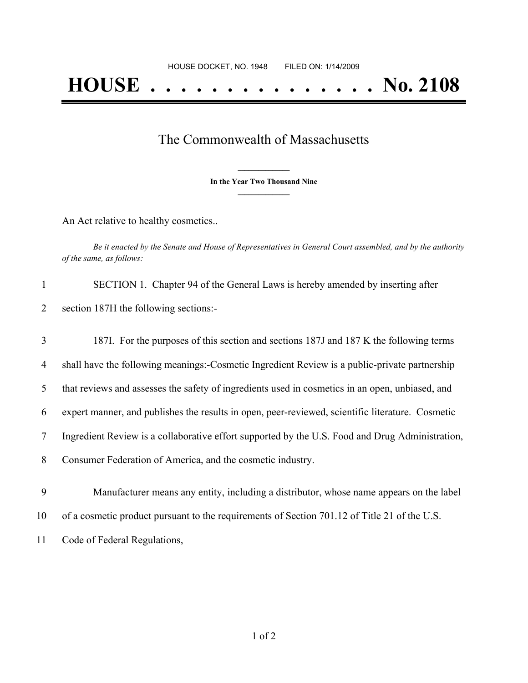## The Commonwealth of Massachusetts

**\_\_\_\_\_\_\_\_\_\_\_\_\_\_\_ In the Year Two Thousand Nine \_\_\_\_\_\_\_\_\_\_\_\_\_\_\_**

An Act relative to healthy cosmetics..

Be it enacted by the Senate and House of Representatives in General Court assembled, and by the authority *of the same, as follows:*

| $\mathbf{1}$   | SECTION 1. Chapter 94 of the General Laws is hereby amended by inserting after                   |
|----------------|--------------------------------------------------------------------------------------------------|
| 2              | section 187H the following sections:-                                                            |
| 3              | 187I. For the purposes of this section and sections 187J and 187K the following terms            |
| $\overline{4}$ | shall have the following meanings:-Cosmetic Ingredient Review is a public-private partnership    |
| 5              | that reviews and assesses the safety of ingredients used in cosmetics in an open, unbiased, and  |
| 6              | expert manner, and publishes the results in open, peer-reviewed, scientific literature. Cosmetic |
| 7              | Ingredient Review is a collaborative effort supported by the U.S. Food and Drug Administration,  |
| 8              | Consumer Federation of America, and the cosmetic industry.                                       |
| 9              | Manufacturer means any entity, including a distributor, whose name appears on the label          |
| 10             | of a cosmetic product pursuant to the requirements of Section 701.12 of Title 21 of the U.S.     |
|                |                                                                                                  |

11 Code of Federal Regulations,